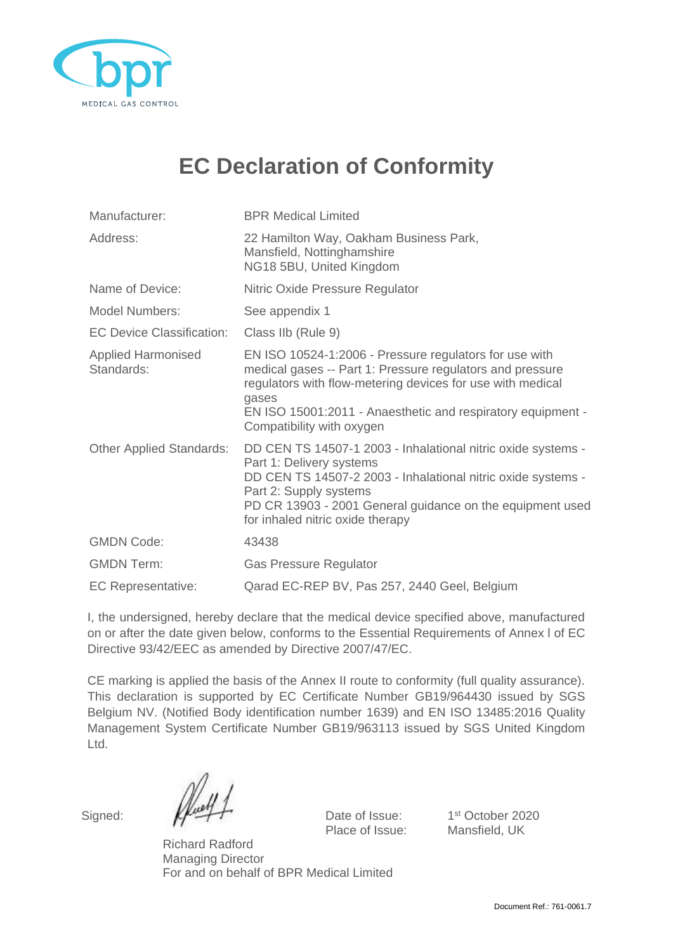

## **EC Declaration of Conformity**

| Manufacturer:                           | <b>BPR Medical Limited</b>                                                                                                                                                                                                                                                             |  |
|-----------------------------------------|----------------------------------------------------------------------------------------------------------------------------------------------------------------------------------------------------------------------------------------------------------------------------------------|--|
| Address:                                | 22 Hamilton Way, Oakham Business Park,<br>Mansfield, Nottinghamshire<br>NG18 5BU, United Kingdom                                                                                                                                                                                       |  |
| Name of Device:                         | Nitric Oxide Pressure Regulator                                                                                                                                                                                                                                                        |  |
| <b>Model Numbers:</b>                   | See appendix 1                                                                                                                                                                                                                                                                         |  |
| <b>EC Device Classification:</b>        | Class IIb (Rule 9)                                                                                                                                                                                                                                                                     |  |
| <b>Applied Harmonised</b><br>Standards: | EN ISO 10524-1:2006 - Pressure regulators for use with<br>medical gases -- Part 1: Pressure regulators and pressure<br>regulators with flow-metering devices for use with medical<br>gases<br>EN ISO 15001:2011 - Anaesthetic and respiratory equipment -<br>Compatibility with oxygen |  |
| <b>Other Applied Standards:</b>         | DD CEN TS 14507-1 2003 - Inhalational nitric oxide systems -<br>Part 1: Delivery systems<br>DD CEN TS 14507-2 2003 - Inhalational nitric oxide systems -<br>Part 2: Supply systems<br>PD CR 13903 - 2001 General guidance on the equipment used<br>for inhaled nitric oxide therapy    |  |
| <b>GMDN Code:</b>                       | 43438                                                                                                                                                                                                                                                                                  |  |
| <b>GMDN Term:</b>                       | <b>Gas Pressure Regulator</b>                                                                                                                                                                                                                                                          |  |
| <b>EC Representative:</b>               | Qarad EC-REP BV, Pas 257, 2440 Geel, Belgium                                                                                                                                                                                                                                           |  |

I, the undersigned, hereby declare that the medical device specified above, manufactured on or after the date given below, conforms to the Essential Requirements of Annex l of EC Directive 93/42/EEC as amended by Directive 2007/47/EC.

CE marking is applied the basis of the Annex II route to conformity (full quality assurance). This declaration is supported by EC Certificate Number GB19/964430 issued by SGS Belgium NV. (Notified Body identification number 1639) and EN ISO 13485:2016 Quality Management System Certificate Number GB19/963113 issued by SGS United Kingdom Ltd.

Signed:  $\mathbb{Z}$   $\mathbb{Z}$  Date of Issue: Place of Issue: Mansfield, UK

1<sup>st</sup> October 2020

Richard Radford Managing Director For and on behalf of BPR Medical Limited